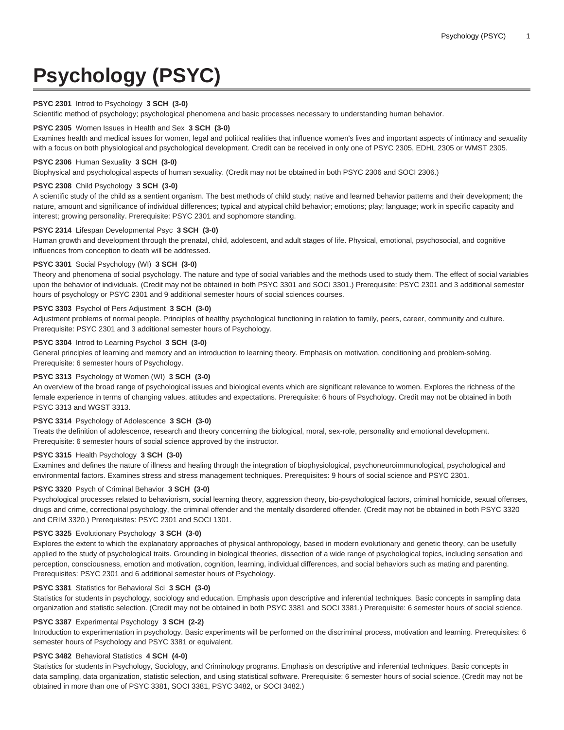# **Psychology (PSYC)**

## **PSYC 2301** Introd to Psychology **3 SCH (3-0)**

Scientific method of psychology; psychological phenomena and basic processes necessary to understanding human behavior.

#### **PSYC 2305** Women Issues in Health and Sex **3 SCH (3-0)**

Examines health and medical issues for women, legal and political realities that influence women's lives and important aspects of intimacy and sexuality with a focus on both physiological and psychological development. Credit can be received in only one of PSYC 2305, EDHL 2305 or WMST 2305.

# **PSYC 2306** Human Sexuality **3 SCH (3-0)**

Biophysical and psychological aspects of human sexuality. (Credit may not be obtained in both PSYC 2306 and SOCI 2306.)

# **PSYC 2308** Child Psychology **3 SCH (3-0)**

A scientific study of the child as a sentient organism. The best methods of child study; native and learned behavior patterns and their development; the nature, amount and significance of individual differences; typical and atypical child behavior; emotions; play; language; work in specific capacity and interest; growing personality. Prerequisite: PSYC 2301 and sophomore standing.

#### **PSYC 2314** Lifespan Developmental Psyc **3 SCH (3-0)**

Human growth and development through the prenatal, child, adolescent, and adult stages of life. Physical, emotional, psychosocial, and cognitive influences from conception to death will be addressed.

#### **PSYC 3301** Social Psychology (WI) **3 SCH (3-0)**

Theory and phenomena of social psychology. The nature and type of social variables and the methods used to study them. The effect of social variables upon the behavior of individuals. (Credit may not be obtained in both PSYC 3301 and SOCI 3301.) Prerequisite: PSYC 2301 and 3 additional semester hours of psychology or PSYC 2301 and 9 additional semester hours of social sciences courses.

#### **PSYC 3303** Psychol of Pers Adjustment **3 SCH (3-0)**

Adjustment problems of normal people. Principles of healthy psychological functioning in relation to family, peers, career, community and culture. Prerequisite: PSYC 2301 and 3 additional semester hours of Psychology.

#### **PSYC 3304** Introd to Learning Psychol **3 SCH (3-0)**

General principles of learning and memory and an introduction to learning theory. Emphasis on motivation, conditioning and problem-solving. Prerequisite: 6 semester hours of Psychology.

#### **PSYC 3313** Psychology of Women (WI) **3 SCH (3-0)**

An overview of the broad range of psychological issues and biological events which are significant relevance to women. Explores the richness of the female experience in terms of changing values, attitudes and expectations. Prerequisite: 6 hours of Psychology. Credit may not be obtained in both PSYC 3313 and WGST 3313.

## **PSYC 3314** Psychology of Adolescence **3 SCH (3-0)**

Treats the definition of adolescence, research and theory concerning the biological, moral, sex-role, personality and emotional development. Prerequisite: 6 semester hours of social science approved by the instructor.

# **PSYC 3315** Health Psychology **3 SCH (3-0)**

Examines and defines the nature of illness and healing through the integration of biophysiological, psychoneuroimmunological, psychological and environmental factors. Examines stress and stress management techniques. Prerequisites: 9 hours of social science and PSYC 2301.

#### **PSYC 3320** Psych of Criminal Behavior **3 SCH (3-0)**

Psychological processes related to behaviorism, social learning theory, aggression theory, bio-psychological factors, criminal homicide, sexual offenses, drugs and crime, correctional psychology, the criminal offender and the mentally disordered offender. (Credit may not be obtained in both PSYC 3320 and CRIM 3320.) Prerequisites: PSYC 2301 and SOCI 1301.

## **PSYC 3325** Evolutionary Psychology **3 SCH (3-0)**

Explores the extent to which the explanatory approaches of physical anthropology, based in modern evolutionary and genetic theory, can be usefully applied to the study of psychological traits. Grounding in biological theories, dissection of a wide range of psychological topics, including sensation and perception, consciousness, emotion and motivation, cognition, learning, individual differences, and social behaviors such as mating and parenting. Prerequisites: PSYC 2301 and 6 additional semester hours of Psychology.

#### **PSYC 3381** Statistics for Behavioral Sci **3 SCH (3-0)**

Statistics for students in psychology, sociology and education. Emphasis upon descriptive and inferential techniques. Basic concepts in sampling data organization and statistic selection. (Credit may not be obtained in both PSYC 3381 and SOCI 3381.) Prerequisite: 6 semester hours of social science.

# **PSYC 3387** Experimental Psychology **3 SCH (2-2)**

Introduction to experimentation in psychology. Basic experiments will be performed on the discriminal process, motivation and learning. Prerequisites: 6 semester hours of Psychology and PSYC 3381 or equivalent.

#### **PSYC 3482** Behavioral Statistics **4 SCH (4-0)**

Statistics for students in Psychology, Sociology, and Criminology programs. Emphasis on descriptive and inferential techniques. Basic concepts in data sampling, data organization, statistic selection, and using statistical software. Prerequisite: 6 semester hours of social science. (Credit may not be obtained in more than one of PSYC 3381, SOCI 3381, PSYC 3482, or SOCI 3482.)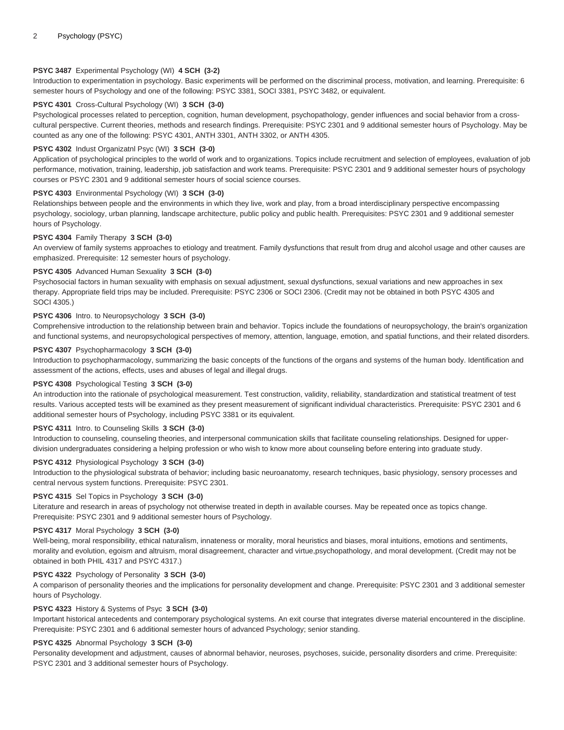# **PSYC 3487** Experimental Psychology (WI) **4 SCH (3-2)**

Introduction to experimentation in psychology. Basic experiments will be performed on the discriminal process, motivation, and learning. Prerequisite: 6 semester hours of Psychology and one of the following: PSYC 3381, SOCI 3381, PSYC 3482, or equivalent.

## **PSYC 4301** Cross-Cultural Psychology (WI) **3 SCH (3-0)**

Psychological processes related to perception, cognition, human development, psychopathology, gender influences and social behavior from a crosscultural perspective. Current theories, methods and research findings. Prerequisite: PSYC 2301 and 9 additional semester hours of Psychology. May be counted as any one of the following: PSYC 4301, ANTH 3301, ANTH 3302, or ANTH 4305.

## **PSYC 4302** Indust Organizatnl Psyc (WI) **3 SCH (3-0)**

Application of psychological principles to the world of work and to organizations. Topics include recruitment and selection of employees, evaluation of job performance, motivation, training, leadership, job satisfaction and work teams. Prerequisite: PSYC 2301 and 9 additional semester hours of psychology courses or PSYC 2301 and 9 additional semester hours of social science courses.

# **PSYC 4303** Environmental Psychology (WI) **3 SCH (3-0)**

Relationships between people and the environments in which they live, work and play, from a broad interdisciplinary perspective encompassing psychology, sociology, urban planning, landscape architecture, public policy and public health. Prerequisites: PSYC 2301 and 9 additional semester hours of Psychology.

#### **PSYC 4304** Family Therapy **3 SCH (3-0)**

An overview of family systems approaches to etiology and treatment. Family dysfunctions that result from drug and alcohol usage and other causes are emphasized. Prerequisite: 12 semester hours of psychology.

#### **PSYC 4305** Advanced Human Sexuality **3 SCH (3-0)**

Psychosocial factors in human sexuality with emphasis on sexual adjustment, sexual dysfunctions, sexual variations and new approaches in sex therapy. Appropriate field trips may be included. Prerequisite: PSYC 2306 or SOCI 2306. (Credit may not be obtained in both PSYC 4305 and SOCI 4305.)

#### **PSYC 4306** Intro. to Neuropsychology **3 SCH (3-0)**

Comprehensive introduction to the relationship between brain and behavior. Topics include the foundations of neuropsychology, the brain's organization and functional systems, and neuropsychological perspectives of memory, attention, language, emotion, and spatial functions, and their related disorders.

#### **PSYC 4307** Psychopharmacology **3 SCH (3-0)**

Introduction to psychopharmacology, summarizing the basic concepts of the functions of the organs and systems of the human body. Identification and assessment of the actions, effects, uses and abuses of legal and illegal drugs.

## **PSYC 4308** Psychological Testing **3 SCH (3-0)**

An introduction into the rationale of psychological measurement. Test construction, validity, reliability, standardization and statistical treatment of test results. Various accepted tests will be examined as they present measurement of significant individual characteristics. Prerequisite: PSYC 2301 and 6 additional semester hours of Psychology, including PSYC 3381 or its equivalent.

## **PSYC 4311** Intro. to Counseling Skills **3 SCH (3-0)**

Introduction to counseling, counseling theories, and interpersonal communication skills that facilitate counseling relationships. Designed for upperdivision undergraduates considering a helping profession or who wish to know more about counseling before entering into graduate study.

#### **PSYC 4312** Physiological Psychology **3 SCH (3-0)**

Introduction to the physiological substrata of behavior; including basic neuroanatomy, research techniques, basic physiology, sensory processes and central nervous system functions. Prerequisite: PSYC 2301.

## **PSYC 4315** Sel Topics in Psychology **3 SCH (3-0)**

Literature and research in areas of psychology not otherwise treated in depth in available courses. May be repeated once as topics change. Prerequisite: PSYC 2301 and 9 additional semester hours of Psychology.

#### **PSYC 4317** Moral Psychology **3 SCH (3-0)**

Well-being, moral responsibility, ethical naturalism, innateness or morality, moral heuristics and biases, moral intuitions, emotions and sentiments, morality and evolution, egoism and altruism, moral disagreement, character and virtue,psychopathology, and moral development. (Credit may not be obtained in both PHIL 4317 and PSYC 4317.)

## **PSYC 4322** Psychology of Personality **3 SCH (3-0)**

A comparison of personality theories and the implications for personality development and change. Prerequisite: PSYC 2301 and 3 additional semester hours of Psychology.

# **PSYC 4323** History & Systems of Psyc **3 SCH (3-0)**

Important historical antecedents and contemporary psychological systems. An exit course that integrates diverse material encountered in the discipline. Prerequisite: PSYC 2301 and 6 additional semester hours of advanced Psychology; senior standing.

# **PSYC 4325** Abnormal Psychology **3 SCH (3-0)**

Personality development and adjustment, causes of abnormal behavior, neuroses, psychoses, suicide, personality disorders and crime. Prerequisite: PSYC 2301 and 3 additional semester hours of Psychology.